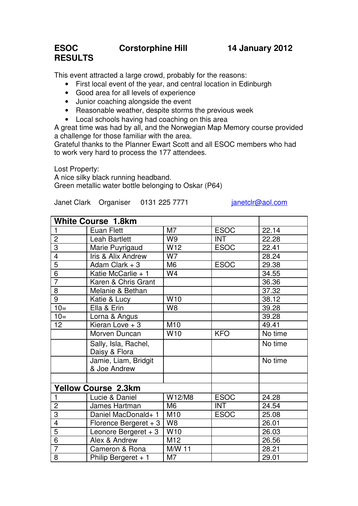## **ESOC Corstorphine Hill 14 January 2012 RESULTS**

This event attracted a large crowd, probably for the reasons:

- First local event of the year, and central location in Edinburgh
- Good area for all levels of experience
- Junior coaching alongside the event
- Reasonable weather, despite storms the previous week
- Local schools having had coaching on this area

A great time was had by all, and the Norwegian Map Memory course provided a challenge for those familiar with the area.

Grateful thanks to the Planner Ewart Scott and all ESOC members who had to work very hard to process the 177 attendees.

Lost Property: A nice silky black running headband. Green metallic water bottle belonging to Oskar (P64)

Janet Clark Organiser 0131 225 7771 janetclr@aol.com

| <b>White Course 1.8km</b>  |                       |                 |             |         |
|----------------------------|-----------------------|-----------------|-------------|---------|
| 1                          | Euan Flett            | M <sub>7</sub>  | <b>ESOC</b> | 22.14   |
| $\overline{c}$             | <b>Leah Bartlett</b>  | W <sub>9</sub>  | <b>INT</b>  | 22.28   |
| 3                          | Marie Puyrigaud       | W <sub>12</sub> | <b>ESOC</b> | 22.41   |
| $\overline{4}$             | Iris & Alix Andrew    | W7              |             | 28.24   |
| $\overline{5}$             | Adam Clark $+3$       | M <sub>6</sub>  | <b>ESOC</b> | 29.38   |
| $\overline{6}$             | Katie McCarlie + 1    | W4              |             | 34.55   |
| $\overline{7}$             | Karen & Chris Grant   |                 |             | 36.36   |
| 8                          | Melanie & Bethan      |                 |             | 37.32   |
| 9                          | Katie & Lucy          | W10             |             | 38.12   |
| $10=$                      | Ella & Erin           | W <sub>8</sub>  |             | 39.28   |
| $10=$                      | Lorna & Angus         |                 |             | 39.28   |
| 12 <sub>2</sub>            | Kieran Love $+3$      | M10             |             | 49.41   |
|                            | Morven Duncan         | W <sub>10</sub> | <b>KFO</b>  | No time |
|                            | Sally, Isla, Rachel,  |                 |             | No time |
|                            | Daisy & Flora         |                 |             |         |
|                            | Jamie, Liam, Bridgit  |                 |             | No time |
|                            | & Joe Andrew          |                 |             |         |
|                            |                       |                 |             |         |
| <b>Yellow Course 2.3km</b> |                       |                 |             |         |
| 1                          | Lucie & Daniel        | W12/M8          | <b>ESOC</b> | 24.28   |
| $\overline{c}$             | James Hartman         | M <sub>6</sub>  | <b>INT</b>  | 24.54   |
| 3                          | Daniel MacDonald+ 1   | M10             | <b>ESOC</b> | 25.08   |
| 4                          | Florence Bergeret + 3 | W <sub>8</sub>  |             | 26.01   |
| $\overline{5}$             | Leonore Bergeret $+3$ | W10             |             | 26.03   |
| $\overline{6}$             | Alex & Andrew         | M12             |             | 26.56   |
| $\overline{7}$             | Cameron & Rona        | M/W 11          |             | 28.21   |
| 8                          | Philip Bergeret $+1$  | M7              |             | 29.01   |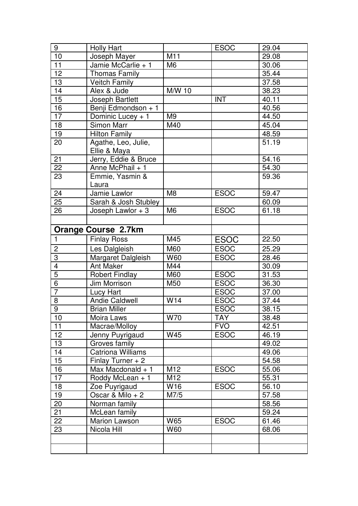| 9                       | <b>Holly Hart</b>          |                 | <b>ESOC</b> | 29.04 |
|-------------------------|----------------------------|-----------------|-------------|-------|
| 10                      | Joseph Mayer               | M11             |             | 29.08 |
| 11                      | Jamie McCarlie + 1         | M <sub>6</sub>  |             | 30.06 |
| 12 <sub>2</sub>         | Thomas Family              |                 |             | 35.44 |
| 13                      | <b>Veitch Family</b>       |                 |             | 37.58 |
| 14                      | Alex & Jude                | M/W 10          |             | 38.23 |
| 15                      | Joseph Bartlett            |                 | <b>INT</b>  | 40.11 |
| 16                      | Benji Edmondson + 1        |                 |             | 40.56 |
| $\overline{17}$         | Dominic Lucey + 1          | M <sub>9</sub>  |             | 44.50 |
| 18                      | Simon Marr                 | M40             |             | 45.04 |
| 19                      | <b>Hilton Family</b>       |                 |             | 48.59 |
| 20                      | Agathe, Leo, Julie,        |                 |             | 51.19 |
|                         | Ellie & Maya               |                 |             |       |
| 21                      | Jerry, Eddie & Bruce       |                 |             | 54.16 |
| 22                      | Anne McPhail + 1           |                 |             | 54.30 |
| 23                      | Emmie, Yasmin &            |                 |             | 59.36 |
|                         | Laura                      |                 |             |       |
| 24                      | Jamie Lawlor               | M <sub>8</sub>  | <b>ESOC</b> | 59.47 |
| 25                      | Sarah & Josh Stubley       |                 |             | 60.09 |
| 26                      | Joseph Lawlor $+3$         | M <sub>6</sub>  | <b>ESOC</b> | 61.18 |
|                         |                            |                 |             |       |
|                         | <b>Orange Course 2.7km</b> |                 |             |       |
| $\mathbf{1}$            | <b>Finlay Ross</b>         | M45             | <b>ESOC</b> | 22.50 |
| $\overline{c}$          | Les Dalgleish              | M60             | <b>ESOC</b> | 25.29 |
| $\overline{3}$          | Margaret Dalgleish         | W60             | <b>ESOC</b> | 28.46 |
| $\overline{\mathbf{4}}$ | <b>Ant Maker</b>           | M44             |             | 30.09 |
| $\overline{5}$          | <b>Robert Findlay</b>      | M60             | <b>ESOC</b> | 31.53 |
| $\overline{6}$          | Jim Morrison               | M50             | <b>ESOC</b> | 36.30 |
| $\overline{7}$          | Lucy Hart                  |                 | <b>ESOC</b> | 37.00 |
| 8                       | Andie Caldwell             | W14             | <b>ESOC</b> | 37.44 |
| $\overline{9}$          | <b>Brian Miller</b>        |                 | <b>ESOC</b> | 38.15 |
| 10                      | Moira Laws                 | W70             | <b>TAY</b>  | 38.48 |
| 11                      | Macrae/Molloy              |                 | <b>FVO</b>  | 42.51 |
| 12 <sub>2</sub>         | Jenny Puyrigaud            | W45             | <b>ESOC</b> | 46.19 |
| 13                      | Groves family              |                 |             | 49.02 |
| 14                      | <b>Catriona Williams</b>   |                 |             | 49.06 |
| 15                      | Finlay Turner $+2$         |                 |             | 54.58 |
| 16                      | Max Macdonald + 1          | M <sub>12</sub> | <b>ESOC</b> | 55.06 |
| $\overline{17}$         | Roddy McLean + 1           | M12             |             | 55.31 |
| 18                      | Zoe Puyrigaud              | W16             | <b>ESOC</b> | 56.10 |
| 19                      | Oscar & Milo + 2           | M7/5            |             | 57.58 |
| 20                      | Norman family              |                 |             | 58.56 |
| 21                      | McLean family              |                 |             | 59.24 |
| 22                      | Marion Lawson              | W65             | <b>ESOC</b> | 61.46 |
| 23                      |                            |                 |             |       |
|                         | Nicola Hill                | W60             |             | 68.06 |
|                         |                            |                 |             |       |